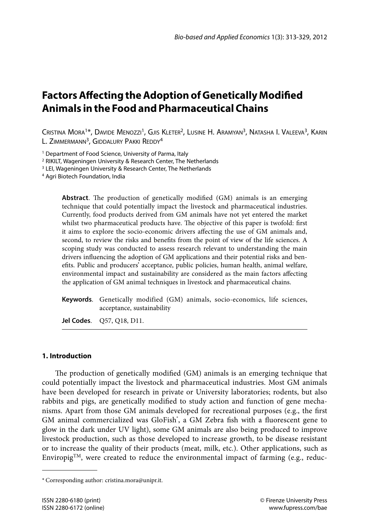# **Factors Affecting the Adoption of Genetically Modified Animals in the Food and Pharmaceutical Chains**

Cristina Mora1\*, Davide Menozzi1, Gjis Kleter2, Lusine H. Aramyan3, Natasha I. Valeeva3, Karin L. ZIMMERMANN<sup>3</sup>, GIDDALURY PAKKI REDDY<sup>4</sup>

<sup>1</sup> Department of Food Science, University of Parma, Italy

2 RIKILT, Wageningen University & Research Center, The Netherlands

<sup>3</sup> LEI, Wageningen University & Research Center, The Netherlands

4 Agri Biotech Foundation, India

**Abstract**. The production of genetically modified (GM) animals is an emerging technique that could potentially impact the livestock and pharmaceutical industries. Currently, food products derived from GM animals have not yet entered the market whilst two pharmaceutical products have. The objective of this paper is twofold: first it aims to explore the socio-economic drivers affecting the use of GM animals and, second, to review the risks and benefits from the point of view of the life sciences. A scoping study was conducted to assess research relevant to understanding the main drivers influencing the adoption of GM applications and their potential risks and benefits. Public and producers' acceptance, public policies, human health, animal welfare, environmental impact and sustainability are considered as the main factors affecting the application of GM animal techniques in livestock and pharmaceutical chains.

**Keywords**. Genetically modified (GM) animals, socio-economics, life sciences, acceptance, sustainability

**Jel Codes**. Q57, Q18, D11.

# **1. Introduction**

The production of genetically modified (GM) animals is an emerging technique that could potentially impact the livestock and pharmaceutical industries. Most GM animals have been developed for research in private or University laboratories; rodents, but also rabbits and pigs, are genetically modified to study action and function of gene mechanisms. Apart from those GM animals developed for recreational purposes (e.g., the first GM animal commercialized was GloFish<sup>\*</sup>, a GM Zebra fish with a fluorescent gene to glow in the dark under UV light), some GM animals are also being produced to improve livestock production, such as those developed to increase growth, to be disease resistant or to increase the quality of their products (meat, milk, etc.). Other applications, such as EnviropigTM, were created to reduce the environmental impact of farming (e.g., reduc-

<sup>\*</sup> Corresponding author: cristina.mora@unipr.it.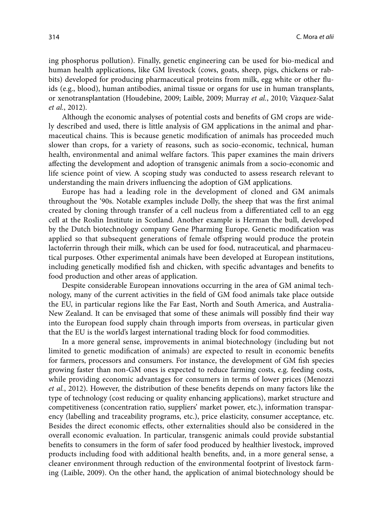ing phosphorus pollution). Finally, genetic engineering can be used for bio-medical and human health applications, like GM livestock (cows, goats, sheep, pigs, chickens or rabbits) developed for producing pharmaceutical proteins from milk, egg white or other fluids (e.g., blood), human antibodies, animal tissue or organs for use in human transplants, or xenotransplantation (Houdebine, 2009; Laible, 2009; Murray *et al.*, 2010; Vàzquez-Salat *et al.*, 2012).

Although the economic analyses of potential costs and benefits of GM crops are widely described and used, there is little analysis of GM applications in the animal and pharmaceutical chains. This is because genetic modification of animals has proceeded much slower than crops, for a variety of reasons, such as socio-economic, technical, human health, environmental and animal welfare factors. This paper examines the main drivers affecting the development and adoption of transgenic animals from a socio-economic and life science point of view. A scoping study was conducted to assess research relevant to understanding the main drivers influencing the adoption of GM applications.

Europe has had a leading role in the development of cloned and GM animals throughout the '90s. Notable examples include Dolly, the sheep that was the first animal created by cloning through transfer of a cell nucleus from a differentiated cell to an egg cell at the Roslin Institute in Scotland. Another example is Herman the bull, developed by the Dutch biotechnology company Gene Pharming Europe. Genetic modification was applied so that subsequent generations of female offspring would produce the protein lactoferrin through their milk, which can be used for food, nutraceutical, and pharmaceutical purposes. Other experimental animals have been developed at European institutions, including genetically modified fish and chicken, with specific advantages and benefits to food production and other areas of application.

Despite considerable European innovations occurring in the area of GM animal technology, many of the current activities in the field of GM food animals take place outside the EU, in particular regions like the Far East, North and South America, and Australia-New Zealand. It can be envisaged that some of these animals will possibly find their way into the European food supply chain through imports from overseas, in particular given that the EU is the world's largest international trading block for food commodities.

In a more general sense, improvements in animal biotechnology (including but not limited to genetic modification of animals) are expected to result in economic benefits for farmers, processors and consumers. For instance, the development of GM fish species growing faster than non-GM ones is expected to reduce farming costs, e.g. feeding costs, while providing economic advantages for consumers in terms of lower prices (Menozzi *et al.*, 2012). However, the distribution of these benefits depends on many factors like the type of technology (cost reducing or quality enhancing applications), market structure and competitiveness (concentration ratio, suppliers' market power, etc.), information transparency (labelling and traceability programs, etc.), price elasticity, consumer acceptance, etc. Besides the direct economic effects, other externalities should also be considered in the overall economic evaluation. In particular, transgenic animals could provide substantial benefits to consumers in the form of safer food produced by healthier livestock, improved products including food with additional health benefits, and, in a more general sense, a cleaner environment through reduction of the environmental footprint of livestock farming (Laible, 2009). On the other hand, the application of animal biotechnology should be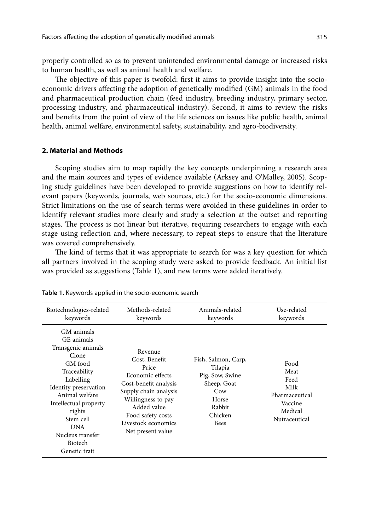properly controlled so as to prevent unintended environmental damage or increased risks to human health, as well as animal health and welfare.

The objective of this paper is twofold: first it aims to provide insight into the socioeconomic drivers affecting the adoption of genetically modified (GM) animals in the food and pharmaceutical production chain (feed industry, breeding industry, primary sector, processing industry, and pharmaceutical industry). Second, it aims to review the risks and benefits from the point of view of the life sciences on issues like public health, animal health, animal welfare, environmental safety, sustainability, and agro-biodiversity.

# **2. Material and Methods**

Scoping studies aim to map rapidly the key concepts underpinning a research area and the main sources and types of evidence available (Arksey and O'Malley, 2005). Scoping study guidelines have been developed to provide suggestions on how to identify relevant papers (keywords, journals, web sources, etc.) for the socio-economic dimensions. Strict limitations on the use of search terms were avoided in these guidelines in order to identify relevant studies more clearly and study a selection at the outset and reporting stages. The process is not linear but iterative, requiring researchers to engage with each stage using reflection and, where necessary, to repeat steps to ensure that the literature was covered comprehensively.

The kind of terms that it was appropriate to search for was a key question for which all partners involved in the scoping study were asked to provide feedback. An initial list was provided as suggestions (Table 1), and new terms were added iteratively.

| Biotechnologies-related                                                                                                                                                                                                                                         | Methods-related                                                                                                                                                                                               | Animals-related                                                                                                      | Use-related                                                                           |
|-----------------------------------------------------------------------------------------------------------------------------------------------------------------------------------------------------------------------------------------------------------------|---------------------------------------------------------------------------------------------------------------------------------------------------------------------------------------------------------------|----------------------------------------------------------------------------------------------------------------------|---------------------------------------------------------------------------------------|
| keywords                                                                                                                                                                                                                                                        | keywords                                                                                                                                                                                                      | keywords                                                                                                             | keywords                                                                              |
| GM animals<br>GE animals<br>Transgenic animals<br>Clone<br>GM food<br>Traceability<br>Labelling<br>Identity preservation<br>Animal welfare<br>Intellectual property<br>rights<br>Stem cell<br><b>DNA</b><br>Nucleus transfer<br><b>Biotech</b><br>Genetic trait | Revenue<br>Cost, Benefit<br>Price<br>Economic effects<br>Cost-benefit analysis<br>Supply chain analysis<br>Willingness to pay<br>Added value<br>Food safety costs<br>Livestock economics<br>Net present value | Fish, Salmon, Carp,<br>Tilapia<br>Pig, Sow, Swine<br>Sheep, Goat<br>Cow<br>Horse<br>Rabbit<br>Chicken<br><b>Bees</b> | Food<br>Meat<br>Feed<br>Milk<br>Pharmaceutical<br>Vaccine<br>Medical<br>Nutraceutical |

**Table 1.** Keywords applied in the socio-economic search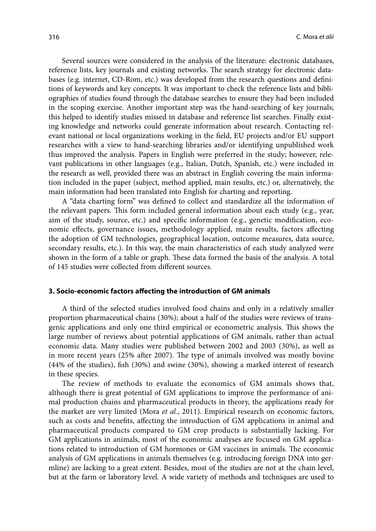Several sources were considered in the analysis of the literature: electronic databases, reference lists, key journals and existing networks. The search strategy for electronic databases (e.g. internet, CD-Rom, etc.) was developed from the research questions and definitions of keywords and key concepts. It was important to check the reference lists and bibliographies of studies found through the database searches to ensure they had been included in the scoping exercise. Another important step was the hand-searching of key journals; this helped to identify studies missed in database and reference list searches. Finally existing knowledge and networks could generate information about research. Contacting relevant national or local organizations working in the field, EU projects and/or EU support researches with a view to hand-searching libraries and/or identifying unpublished work thus improved the analysis. Papers in English were preferred in the study; however, relevant publications in other languages (e.g., Italian, Dutch, Spanish, etc.) were included in the research as well, provided there was an abstract in English covering the main information included in the paper (subject, method applied, main results, etc.) or, alternatively, the main information had been translated into English for charting and reporting.

A "data charting form" was defined to collect and standardize all the information of the relevant papers. This form included general information about each study (e.g., year, aim of the study, source, etc.) and specific information (e.g., genetic modification, economic effects, governance issues, methodology applied, main results, factors affecting the adoption of GM technologies, geographical location, outcome measures, data source, secondary results, etc.). In this way, the main characteristics of each study analyzed were shown in the form of a table or graph. These data formed the basis of the analysis. A total of 145 studies were collected from different sources.

## **3. Socio-economic factors affecting the introduction of GM animals**

A third of the selected studies involved food chains and only in a relatively smaller proportion pharmaceutical chains (30%); about a half of the studies were reviews of transgenic applications and only one third empirical or econometric analysis. This shows the large number of reviews about potential applications of GM animals, rather than actual economic data. Many studies were published between 2002 and 2003 (30%), as well as in more recent years (25% after 2007). The type of animals involved was mostly bovine (44% of the studies), fish (30%) and swine (30%), showing a marked interest of research in these species.

The review of methods to evaluate the economics of GM animals shows that, although there is great potential of GM applications to improve the performance of animal production chains and pharmaceutical products in theory, the applications ready for the market are very limited (Mora *et al.*, 2011). Empirical research on economic factors, such as costs and benefits, affecting the introduction of GM applications in animal and pharmaceutical products compared to GM crop products is substantially lacking. For GM applications in animals, most of the economic analyses are focused on GM applications related to introduction of GM hormones or GM vaccines in animals. The economic analysis of GM applications in animals themselves (e.g. introducing foreign DNA into germline) are lacking to a great extent. Besides, most of the studies are not at the chain level, but at the farm or laboratory level. A wide variety of methods and techniques are used to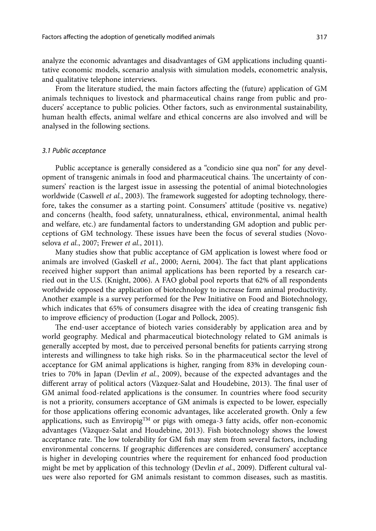analyze the economic advantages and disadvantages of GM applications including quantitative economic models, scenario analysis with simulation models, econometric analysis, and qualitative telephone interviews.

From the literature studied, the main factors affecting the (future) application of GM animals techniques to livestock and pharmaceutical chains range from public and producers' acceptance to public policies. Other factors, such as environmental sustainability, human health effects, animal welfare and ethical concerns are also involved and will be analysed in the following sections.

## *3.1 Public acceptance*

Public acceptance is generally considered as a "condicio sine qua non" for any development of transgenic animals in food and pharmaceutical chains. The uncertainty of consumers' reaction is the largest issue in assessing the potential of animal biotechnologies worldwide (Caswell *et al.*, 2003). The framework suggested for adopting technology, therefore, takes the consumer as a starting point. Consumers' attitude (positive vs. negative) and concerns (health, food safety, unnaturalness, ethical, environmental, animal health and welfare, etc.) are fundamental factors to understanding GM adoption and public perceptions of GM technology. These issues have been the focus of several studies (Novoselova *et al.*, 2007; Frewer *et al.*, 2011).

Many studies show that public acceptance of GM application is lowest where food or animals are involved (Gaskell *et al.*, 2000; Aerni, 2004). The fact that plant applications received higher support than animal applications has been reported by a research carried out in the U.S. (Knight, 2006). A FAO global pool reports that 62% of all respondents worldwide opposed the application of biotechnology to increase farm animal productivity. Another example is a survey performed for the Pew Initiative on Food and Biotechnology, which indicates that 65% of consumers disagree with the idea of creating transgenic fish to improve efficiency of production (Logar and Pollock, 2005).

The end-user acceptance of biotech varies considerably by application area and by world geography. Medical and pharmaceutical biotechnology related to GM animals is generally accepted by most, due to perceived personal benefits for patients carrying strong interests and willingness to take high risks. So in the pharmaceutical sector the level of acceptance for GM animal applications is higher, ranging from 83% in developing countries to 70% in Japan (Devlin *et al.*, 2009), because of the expected advantages and the different array of political actors (Vàzquez-Salat and Houdebine, 2013). The final user of GM animal food-related applications is the consumer. In countries where food security is not a priority, consumers acceptance of GM animals is expected to be lower, especially for those applications offering economic advantages, like accelerated growth. Only a few applications, such as Enviropig<sup>TM</sup> or pigs with omega-3 fatty acids, offer non-economic advantages (Vàzquez-Salat and Houdebine, 2013). Fish biotechnology shows the lowest acceptance rate. The low tolerability for GM fish may stem from several factors, including environmental concerns. If geographic differences are considered, consumers' acceptance is higher in developing countries where the requirement for enhanced food production might be met by application of this technology (Devlin *et al.*, 2009). Different cultural values were also reported for GM animals resistant to common diseases, such as mastitis.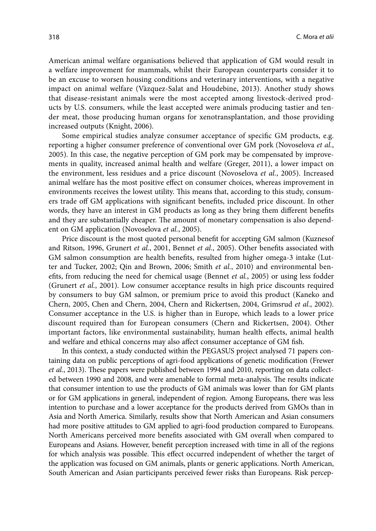American animal welfare organisations believed that application of GM would result in a welfare improvement for mammals, whilst their European counterparts consider it to be an excuse to worsen housing conditions and veterinary interventions, with a negative impact on animal welfare (Vàzquez-Salat and Houdebine, 2013). Another study shows that disease-resistant animals were the most accepted among livestock-derived products by U.S. consumers, while the least accepted were animals producing tastier and tender meat, those producing human organs for xenotransplantation, and those providing increased outputs (Knight, 2006).

Some empirical studies analyze consumer acceptance of specific GM products, e.g. reporting a higher consumer preference of conventional over GM pork (Novoselova *et al.*, 2005). In this case, the negative perception of GM pork may be compensated by improvements in quality, increased animal health and welfare (Greger, 2011), a lower impact on the environment, less residues and a price discount (Novoselova *et al.*, 2005). Increased animal welfare has the most positive effect on consumer choices, whereas improvement in environments receives the lowest utility. This means that, according to this study, consumers trade off GM applications with significant benefits, included price discount. In other words, they have an interest in GM products as long as they bring them different benefits and they are substantially cheaper. The amount of monetary compensation is also dependent on GM application (Novoselova *et al.*, 2005).

Price discount is the most quoted personal benefit for accepting GM salmon (Kuznesof and Ritson, 1996, Grunert *et al.*, 2001, Bennet *et al.*, 2005). Other benefits associated with GM salmon consumption are health benefits, resulted from higher omega-3 intake (Lutter and Tucker, 2002; Qin and Brown, 2006; Smith *et al.*, 2010) and environmental benefits, from reducing the need for chemical usage (Bennet *et al.*, 2005) or using less fodder (Grunert *et al.*, 2001). Low consumer acceptance results in high price discounts required by consumers to buy GM salmon, or premium price to avoid this product (Kaneko and Chern, 2005, Chen and Chern, 2004, Chern and Rickertsen, 2004, Grimsrud *et al.*, 2002). Consumer acceptance in the U.S. is higher than in Europe, which leads to a lower price discount required than for European consumers (Chern and Rickertsen, 2004). Other important factors, like environmental sustainability, human health effects, animal health and welfare and ethical concerns may also affect consumer acceptance of GM fish.

In this context, a study conducted within the PEGASUS project analysed 71 papers containing data on public perceptions of agri-food applications of genetic modification (Frewer *et al.*, 2013). These papers were published between 1994 and 2010, reporting on data collected between 1990 and 2008, and were amenable to formal meta-analysis. The results indicate that consumer intention to use the products of GM animals was lower than for GM plants or for GM applications in general, independent of region. Among Europeans, there was less intention to purchase and a lower acceptance for the products derived from GMOs than in Asia and North America. Similarly, results show that North American and Asian consumers had more positive attitudes to GM applied to agri-food production compared to Europeans. North Americans perceived more benefits associated with GM overall when compared to Europeans and Asians. However, benefit perception increased with time in all of the regions for which analysis was possible. This effect occurred independent of whether the target of the application was focused on GM animals, plants or generic applications. North American, South American and Asian participants perceived fewer risks than Europeans. Risk percep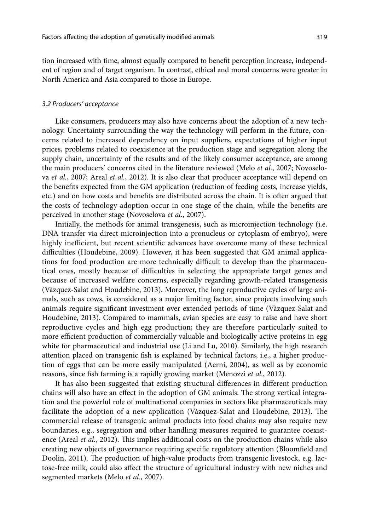tion increased with time, almost equally compared to benefit perception increase, independent of region and of target organism. In contrast, ethical and moral concerns were greater in North America and Asia compared to those in Europe.

### *3.2 Producers' acceptance*

Like consumers, producers may also have concerns about the adoption of a new technology. Uncertainty surrounding the way the technology will perform in the future, concerns related to increased dependency on input suppliers, expectations of higher input prices, problems related to coexistence at the production stage and segregation along the supply chain, uncertainty of the results and of the likely consumer acceptance, are among the main producers' concerns cited in the literature reviewed (Melo *et al.*, 2007; Novoselova *et al.*, 2007; Areal *et al.*, 2012). It is also clear that producer acceptance will depend on the benefits expected from the GM application (reduction of feeding costs, increase yields, etc.) and on how costs and benefits are distributed across the chain. It is often argued that the costs of technology adoption occur in one stage of the chain, while the benefits are perceived in another stage (Novoselova *et al.*, 2007).

Initially, the methods for animal transgenesis, such as microinjection technology (i.e. DNA transfer via direct microinjection into a pronucleus or cytoplasm of embryo), were highly inefficient, but recent scientific advances have overcome many of these technical difficulties (Houdebine, 2009). However, it has been suggested that GM animal applications for food production are more technically difficult to develop than the pharmaceutical ones, mostly because of difficulties in selecting the appropriate target genes and because of increased welfare concerns, especially regarding growth-related transgenesis (Vàzquez-Salat and Houdebine, 2013). Moreover, the long reproductive cycles of large animals, such as cows, is considered as a major limiting factor, since projects involving such animals require significant investment over extended periods of time (Vàzquez-Salat and Houdebine, 2013). Compared to mammals, avian species are easy to raise and have short reproductive cycles and high egg production; they are therefore particularly suited to more efficient production of commercially valuable and biologically active proteins in egg white for pharmaceutical and industrial use (Li and Lu, 2010). Similarly, the high research attention placed on transgenic fish is explained by technical factors, i.e., a higher production of eggs that can be more easily manipulated (Aerni, 2004), as well as by economic reasons, since fish farming is a rapidly growing market (Menozzi *et al.*, 2012).

It has also been suggested that existing structural differences in different production chains will also have an effect in the adoption of GM animals. The strong vertical integration and the powerful role of multinational companies in sectors like pharmaceuticals may facilitate the adoption of a new application (Vàzquez-Salat and Houdebine, 2013). The commercial release of transgenic animal products into food chains may also require new boundaries, e.g., segregation and other handling measures required to guarantee coexistence (Areal *et al.*, 2012). This implies additional costs on the production chains while also creating new objects of governance requiring specific regulatory attention (Bloomfield and Doolin, 2011). The production of high-value products from transgenic livestock, e.g. lactose-free milk, could also affect the structure of agricultural industry with new niches and segmented markets (Melo *et al.*, 2007).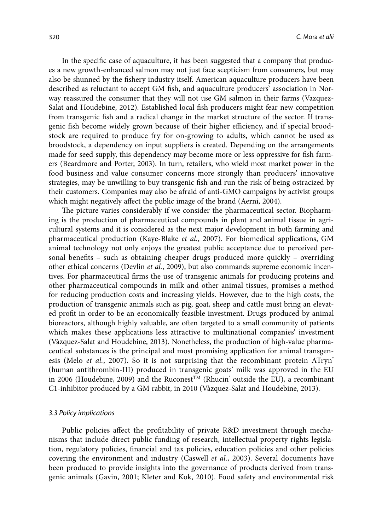In the specific case of aquaculture, it has been suggested that a company that produces a new growth-enhanced salmon may not just face scepticism from consumers, but may also be shunned by the fishery industry itself. American aquaculture producers have been described as reluctant to accept GM fish, and aquaculture producers' association in Norway reassured the consumer that they will not use GM salmon in their farms (Vazquez-Salat and Houdebine, 2012). Established local fish producers might fear new competition from transgenic fish and a radical change in the market structure of the sector. If transgenic fish become widely grown because of their higher efficiency, and if special broodstock are required to produce fry for on-growing to adults, which cannot be used as broodstock, a dependency on input suppliers is created. Depending on the arrangements made for seed supply, this dependency may become more or less oppressive for fish farmers (Beardmore and Porter, 2003). In turn, retailers, who wield most market power in the food business and value consumer concerns more strongly than producers' innovative strategies, may be unwilling to buy transgenic fish and run the risk of being ostracized by their customers. Companies may also be afraid of anti-GMO campaigns by activist groups which might negatively affect the public image of the brand (Aerni, 2004).

The picture varies considerably if we consider the pharmaceutical sector. Biopharming is the production of pharmaceutical compounds in plant and animal tissue in agricultural systems and it is considered as the next major development in both farming and pharmaceutical production (Kaye-Blake *et al.*, 2007). For biomedical applications, GM animal technology not only enjoys the greatest public acceptance due to perceived personal benefits – such as obtaining cheaper drugs produced more quickly – overriding other ethical concerns (Devlin *et al.*, 2009), but also commands supreme economic incentives. For pharmaceutical firms the use of transgenic animals for producing proteins and other pharmaceutical compounds in milk and other animal tissues, promises a method for reducing production costs and increasing yields. However, due to the high costs, the production of transgenic animals such as pig, goat, sheep and cattle must bring an elevated profit in order to be an economically feasible investment. Drugs produced by animal bioreactors, although highly valuable, are often targeted to a small community of patients which makes these applications less attractive to multinational companies' investment (Vàzquez-Salat and Houdebine, 2013). Nonetheless, the production of high-value pharmaceutical substances is the principal and most promising application for animal transgenesis (Melo *et al.*, 2007). So it is not surprising that the recombinant protein ATryn<sup>®</sup> (human antithrombin-III) produced in transgenic goats' milk was approved in the EU in 2006 (Houdebine, 2009) and the Ruconest<sup>TM</sup> (Rhucin<sup>\*</sup> outside the EU), a recombinant C1-inhibitor produced by a GM rabbit, in 2010 (Vàzquez-Salat and Houdebine, 2013).

#### *3.3 Policy implications*

Public policies affect the profitability of private R&D investment through mechanisms that include direct public funding of research, intellectual property rights legislation, regulatory policies, financial and tax policies, education policies and other policies covering the environment and industry (Caswell *et al.*, 2003). Several documents have been produced to provide insights into the governance of products derived from transgenic animals (Gavin, 2001; Kleter and Kok, 2010). Food safety and environmental risk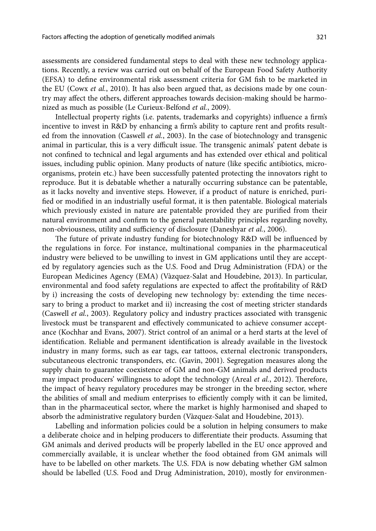assessments are considered fundamental steps to deal with these new technology applications. Recently, a review was carried out on behalf of the European Food Safety Authority (EFSA) to define environmental risk assessment criteria for GM fish to be marketed in the EU (Cowx *et al.*, 2010). It has also been argued that, as decisions made by one country may affect the others, different approaches towards decision-making should be harmonized as much as possible (Le Curieux-Belfond *et al.*, 2009).

Intellectual property rights (i.e. patents, trademarks and copyrights) influence a firm's incentive to invest in R&D by enhancing a firm's ability to capture rent and profits resulted from the innovation (Caswell *et al.*, 2003). In the case of biotechnology and transgenic animal in particular, this is a very difficult issue. The transgenic animals' patent debate is not confined to technical and legal arguments and has extended over ethical and political issues, including public opinion. Many products of nature (like specific antibiotics, microorganisms, protein etc.) have been successfully patented protecting the innovators right to reproduce. But it is debatable whether a naturally occurring substance can be patentable, as it lacks novelty and inventive steps. However, if a product of nature is enriched, purified or modified in an industrially useful format, it is then patentable. Biological materials which previously existed in nature are patentable provided they are purified from their natural environment and confirm to the general patentability principles regarding novelty, non-obviousness, utility and sufficiency of disclosure (Daneshyar *et al.*, 2006).

The future of private industry funding for biotechnology R&D will be influenced by the regulations in force. For instance, multinational companies in the pharmaceutical industry were believed to be unwilling to invest in GM applications until they are accepted by regulatory agencies such as the U.S. Food and Drug Administration (FDA) or the European Medicines Agency (EMA) (Vàzquez-Salat and Houdebine, 2013). In particular, environmental and food safety regulations are expected to affect the profitability of R&D by i) increasing the costs of developing new technology by: extending the time necessary to bring a product to market and ii) increasing the cost of meeting stricter standards (Caswell *et al.*, 2003). Regulatory policy and industry practices associated with transgenic livestock must be transparent and effectively communicated to achieve consumer acceptance (Kochhar and Evans, 2007). Strict control of an animal or a herd starts at the level of identification. Reliable and permanent identification is already available in the livestock industry in many forms, such as ear tags, ear tattoos, external electronic transponders, subcutaneous electronic transponders, etc. (Gavin, 2001). Segregation measures along the supply chain to guarantee coexistence of GM and non-GM animals and derived products may impact producers' willingness to adopt the technology (Areal *et al.*, 2012). Therefore, the impact of heavy regulatory procedures may be stronger in the breeding sector, where the abilities of small and medium enterprises to efficiently comply with it can be limited, than in the pharmaceutical sector, where the market is highly harmonised and shaped to absorb the administrative regulatory burden (Vàzquez-Salat and Houdebine, 2013).

Labelling and information policies could be a solution in helping consumers to make a deliberate choice and in helping producers to differentiate their products. Assuming that GM animals and derived products will be properly labelled in the EU once approved and commercially available, it is unclear whether the food obtained from GM animals will have to be labelled on other markets. The U.S. FDA is now debating whether GM salmon should be labelled (U.S. Food and Drug Administration, 2010), mostly for environmen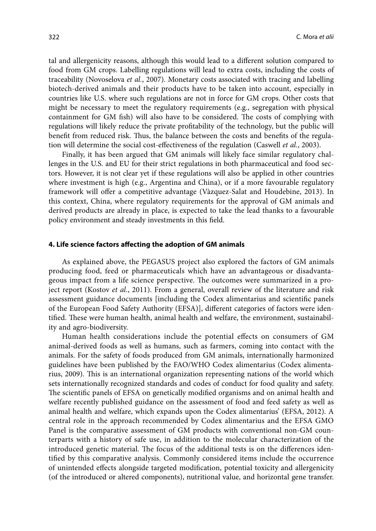tal and allergenicity reasons, although this would lead to a different solution compared to food from GM crops. Labelling regulations will lead to extra costs, including the costs of traceability (Novoselova *et al.*, 2007). Monetary costs associated with tracing and labelling biotech-derived animals and their products have to be taken into account, especially in countries like U.S. where such regulations are not in force for GM crops. Other costs that might be necessary to meet the regulatory requirements (e.g., segregation with physical containment for GM fish) will also have to be considered. The costs of complying with regulations will likely reduce the private profitability of the technology, but the public will benefit from reduced risk. Thus, the balance between the costs and benefits of the regulation will determine the social cost-effectiveness of the regulation (Caswell *et al.*, 2003).

Finally, it has been argued that GM animals will likely face similar regulatory challenges in the U.S. and EU for their strict regulations in both pharmaceutical and food sectors. However, it is not clear yet if these regulations will also be applied in other countries where investment is high (e.g., Argentina and China), or if a more favourable regulatory framework will offer a competitive advantage (Vàzquez-Salat and Houdebine, 2013). In this context, China, where regulatory requirements for the approval of GM animals and derived products are already in place, is expected to take the lead thanks to a favourable policy environment and steady investments in this field.

# **4. Life science factors affecting the adoption of GM animals**

As explained above, the PEGASUS project also explored the factors of GM animals producing food, feed or pharmaceuticals which have an advantageous or disadvantageous impact from a life science perspective. The outcomes were summarized in a project report (Kostov *et al.*, 2011). From a general, overall review of the literature and risk assessment guidance documents [including the Codex alimentarius and scientific panels of the European Food Safety Authority (EFSA)], different categories of factors were identified. These were human health, animal health and welfare, the environment, sustainability and agro-biodiversity.

Human health considerations include the potential effects on consumers of GM animal-derived foods as well as humans, such as farmers, coming into contact with the animals. For the safety of foods produced from GM animals, internationally harmonized guidelines have been published by the FAO/WHO Codex alimentarius (Codex alimentarius, 2009). This is an international organization representing nations of the world which sets internationally recognized standards and codes of conduct for food quality and safety. The scientific panels of EFSA on genetically modified organisms and on animal health and welfare recently published guidance on the assessment of food and feed safety as well as animal health and welfare, which expands upon the Codex alimentarius' (EFSA, 2012). A central role in the approach recommended by Codex alimentarius and the EFSA GMO Panel is the comparative assessment of GM products with conventional non-GM counterparts with a history of safe use, in addition to the molecular characterization of the introduced genetic material. The focus of the additional tests is on the differences identified by this comparative analysis. Commonly considered items include the occurrence of unintended effects alongside targeted modification, potential toxicity and allergenicity (of the introduced or altered components), nutritional value, and horizontal gene transfer.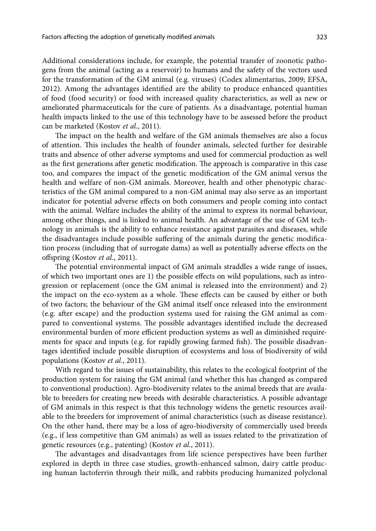Additional considerations include, for example, the potential transfer of zoonotic pathogens from the animal (acting as a reservoir) to humans and the safety of the vectors used for the transformation of the GM animal (e.g. viruses) (Codex alimentarius, 2009; EFSA, 2012). Among the advantages identified are the ability to produce enhanced quantities of food (food security) or food with increased quality characteristics, as well as new or ameliorated pharmaceuticals for the cure of patients. As a disadvantage, potential human health impacts linked to the use of this technology have to be assessed before the product can be marketed (Kostov *et al.*, 2011).

The impact on the health and welfare of the GM animals themselves are also a focus of attention. This includes the health of founder animals, selected further for desirable traits and absence of other adverse symptoms and used for commercial production as well as the first generations after genetic modification. The approach is comparative in this case too, and compares the impact of the genetic modification of the GM animal versus the health and welfare of non-GM animals. Moreover, health and other phenotypic characteristics of the GM animal compared to a non-GM animal may also serve as an important indicator for potential adverse effects on both consumers and people coming into contact with the animal. Welfare includes the ability of the animal to express its normal behaviour, among other things, and is linked to animal health. An advantage of the use of GM technology in animals is the ability to enhance resistance against parasites and diseases, while the disadvantages include possible suffering of the animals during the genetic modification process (including that of surrogate dams) as well as potentially adverse effects on the offspring (Kostov *et al.*, 2011).

The potential environmental impact of GM animals straddles a wide range of issues, of which two important ones are 1) the possible effects on wild populations, such as introgression or replacement (once the GM animal is released into the environment) and 2) the impact on the eco-system as a whole. These effects can be caused by either or both of two factors; the behaviour of the GM animal itself once released into the environment (e.g. after escape) and the production systems used for raising the GM animal as compared to conventional systems. The possible advantages identified include the decreased environmental burden of more efficient production systems as well as diminished requirements for space and inputs (e.g. for rapidly growing farmed fish). The possible disadvantages identified include possible disruption of ecosystems and loss of biodiversity of wild populations (Kostov *et al.*, 2011).

With regard to the issues of sustainability, this relates to the ecological footprint of the production system for raising the GM animal (and whether this has changed as compared to conventional production). Agro-biodiversity relates to the animal breeds that are available to breeders for creating new breeds with desirable characteristics. A possible advantage of GM animals in this respect is that this technology widens the genetic resources available to the breeders for improvement of animal characteristics (such as disease resistance). On the other hand, there may be a loss of agro-biodiversity of commercially used breeds (e.g., if less competitive than GM animals) as well as issues related to the privatization of genetic resources (e.g., patenting) (Kostov *et al.*, 2011).

The advantages and disadvantages from life science perspectives have been further explored in depth in three case studies, growth-enhanced salmon, dairy cattle producing human lactoferrin through their milk, and rabbits producing humanized polyclonal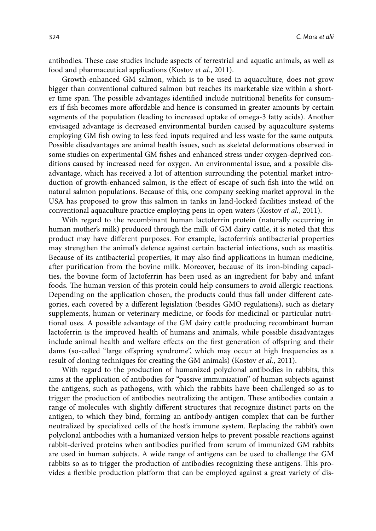antibodies. These case studies include aspects of terrestrial and aquatic animals, as well as food and pharmaceutical applications (Kostov *et al.*, 2011).

Growth-enhanced GM salmon, which is to be used in aquaculture, does not grow bigger than conventional cultured salmon but reaches its marketable size within a shorter time span. The possible advantages identified include nutritional benefits for consumers if fish becomes more affordable and hence is consumed in greater amounts by certain segments of the population (leading to increased uptake of omega-3 fatty acids). Another envisaged advantage is decreased environmental burden caused by aquaculture systems employing GM fish owing to less feed inputs required and less waste for the same outputs. Possible disadvantages are animal health issues, such as skeletal deformations observed in some studies on experimental GM fishes and enhanced stress under oxygen-deprived conditions caused by increased need for oxygen. An environmental issue, and a possible disadvantage, which has received a lot of attention surrounding the potential market introduction of growth-enhanced salmon, is the effect of escape of such fish into the wild on natural salmon populations. Because of this, one company seeking market approval in the USA has proposed to grow this salmon in tanks in land-locked facilities instead of the conventional aquaculture practice employing pens in open waters (Kostov *et al.*, 2011).

With regard to the recombinant human lactoferrin protein (naturally occurring in human mother's milk) produced through the milk of GM dairy cattle, it is noted that this product may have different purposes. For example, lactoferrin's antibacterial properties may strengthen the animal's defence against certain bacterial infections, such as mastitis. Because of its antibacterial properties, it may also find applications in human medicine, after purification from the bovine milk. Moreover, because of its iron-binding capacities, the bovine form of lactoferrin has been used as an ingredient for baby and infant foods. The human version of this protein could help consumers to avoid allergic reactions. Depending on the application chosen, the products could thus fall under different categories, each covered by a different legislation (besides GMO regulations), such as dietary supplements, human or veterinary medicine, or foods for medicinal or particular nutritional uses. A possible advantage of the GM dairy cattle producing recombinant human lactoferrin is the improved health of humans and animals, while possible disadvantages include animal health and welfare effects on the first generation of offspring and their dams (so-called "large offspring syndrome", which may occur at high frequencies as a result of cloning techniques for creating the GM animals) (Kostov *et al.*, 2011).

With regard to the production of humanized polyclonal antibodies in rabbits, this aims at the application of antibodies for "passive immunization" of human subjects against the antigens, such as pathogens, with which the rabbits have been challenged so as to trigger the production of antibodies neutralizing the antigen. These antibodies contain a range of molecules with slightly different structures that recognize distinct parts on the antigen, to which they bind, forming an antibody-antigen complex that can be further neutralized by specialized cells of the host's immune system. Replacing the rabbit's own polyclonal antibodies with a humanized version helps to prevent possible reactions against rabbit-derived proteins when antibodies purified from serum of immunized GM rabbits are used in human subjects. A wide range of antigens can be used to challenge the GM rabbits so as to trigger the production of antibodies recognizing these antigens. This provides a flexible production platform that can be employed against a great variety of dis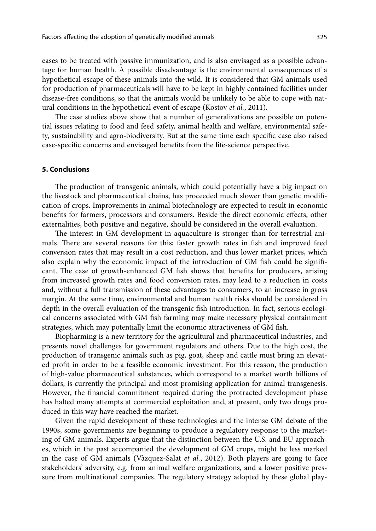eases to be treated with passive immunization, and is also envisaged as a possible advantage for human health. A possible disadvantage is the environmental consequences of a hypothetical escape of these animals into the wild. It is considered that GM animals used for production of pharmaceuticals will have to be kept in highly contained facilities under disease-free conditions, so that the animals would be unlikely to be able to cope with natural conditions in the hypothetical event of escape (Kostov *et al.*, 2011).

The case studies above show that a number of generalizations are possible on potential issues relating to food and feed safety, animal health and welfare, environmental safety, sustainability and agro-biodiversity. But at the same time each specific case also raised case-specific concerns and envisaged benefits from the life-science perspective.

## **5. Conclusions**

The production of transgenic animals, which could potentially have a big impact on the livestock and pharmaceutical chains, has proceeded much slower than genetic modification of crops. Improvements in animal biotechnology are expected to result in economic benefits for farmers, processors and consumers. Beside the direct economic effects, other externalities, both positive and negative, should be considered in the overall evaluation.

The interest in GM development in aquaculture is stronger than for terrestrial animals. There are several reasons for this; faster growth rates in fish and improved feed conversion rates that may result in a cost reduction, and thus lower market prices, which also explain why the economic impact of the introduction of GM fish could be significant. The case of growth-enhanced GM fish shows that benefits for producers, arising from increased growth rates and food conversion rates, may lead to a reduction in costs and, without a full transmission of these advantages to consumers, to an increase in gross margin. At the same time, environmental and human health risks should be considered in depth in the overall evaluation of the transgenic fish introduction. In fact, serious ecological concerns associated with GM fish farming may make necessary physical containment strategies, which may potentially limit the economic attractiveness of GM fish.

Biopharming is a new territory for the agricultural and pharmaceutical industries, and presents novel challenges for government regulators and others. Due to the high cost, the production of transgenic animals such as pig, goat, sheep and cattle must bring an elevated profit in order to be a feasible economic investment. For this reason, the production of high-value pharmaceutical substances, which correspond to a market worth billions of dollars, is currently the principal and most promising application for animal transgenesis. However, the financial commitment required during the protracted development phase has halted many attempts at commercial exploitation and, at present, only two drugs produced in this way have reached the market.

Given the rapid development of these technologies and the intense GM debate of the 1990s, some governments are beginning to produce a regulatory response to the marketing of GM animals. Experts argue that the distinction between the U.S. and EU approaches, which in the past accompanied the development of GM crops, might be less marked in the case of GM animals (Vàzquez-Salat *et al.*, 2012). Both players are going to face stakeholders' adversity, e.g. from animal welfare organizations, and a lower positive pressure from multinational companies. The regulatory strategy adopted by these global play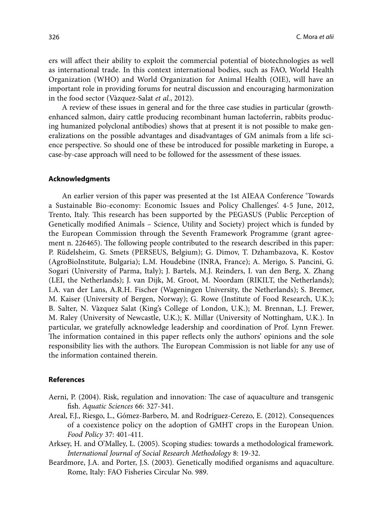ers will affect their ability to exploit the commercial potential of biotechnologies as well as international trade. In this context international bodies, such as FAO, World Health Organization (WHO) and World Organization for Animal Health (OIE), will have an important role in providing forums for neutral discussion and encouraging harmonization in the food sector (Vàzquez-Salat *et al.*, 2012).

A review of these issues in general and for the three case studies in particular (growthenhanced salmon, dairy cattle producing recombinant human lactoferrin, rabbits producing humanized polyclonal antibodies) shows that at present it is not possible to make generalizations on the possible advantages and disadvantages of GM animals from a life science perspective. So should one of these be introduced for possible marketing in Europe, a case-by-case approach will need to be followed for the assessment of these issues.

#### **Acknowledgments**

An earlier version of this paper was presented at the 1st AIEAA Conference 'Towards a Sustainable Bio-economy: Economic Issues and Policy Challenges'. 4-5 June, 2012, Trento, Italy. This research has been supported by the PEGASUS (Public Perception of Genetically modified Animals – Science, Utility and Society) project which is funded by the European Commission through the Seventh Framework Programme (grant agreement n. 226465). The following people contributed to the research described in this paper: P. Rüdelsheim, G. Smets (PERSEUS, Belgium); G. Dimov, T. Dzhambazova, K. Kostov (AgroBioInstitute, Bulgaria); L.M. Houdebine (INRA, France); A. Merigo, S. Pancini, G. Sogari (University of Parma, Italy); J. Bartels, M.J. Reinders, I. van den Berg, X. Zhang (LEI, the Netherlands); J. van Dijk, M. Groot, M. Noordam (RIKILT, the Netherlands); I.A. van der Lans, A.R.H. Fischer (Wageningen University, the Netherlands); S. Bremer, M. Kaiser (University of Bergen, Norway); G. Rowe (Institute of Food Research, U.K.); B. Salter, N. Vàzquez Salat (King's College of London, U.K.); M. Brennan, L.J. Frewer, M. Raley (University of Newcastle, U.K.); K. Millar (University of Nottingham, U.K.). In particular, we gratefully acknowledge leadership and coordination of Prof. Lynn Frewer. The information contained in this paper reflects only the authors' opinions and the sole responsibility lies with the authors. The European Commission is not liable for any use of the information contained therein.

## **References**

- Aerni, P. (2004). Risk, regulation and innovation: The case of aquaculture and transgenic fish. *Aquatic Sciences* 66: 327-341.
- Areal, F.J., Riesgo, L., Gómez-Barbero, M. and Rodríguez-Cerezo, E. (2012). Consequences of a coexistence policy on the adoption of GMHT crops in the European Union. *Food Policy* 37: 401-411.
- Arksey, H. and O'Malley, L. (2005). Scoping studies: towards a methodological framework. *International Journal of Social Research Methodology* 8: 19-32.
- Beardmore, J.A. and Porter, J.S. (2003). Genetically modified organisms and aquaculture. Rome, Italy: FAO Fisheries Circular No. 989.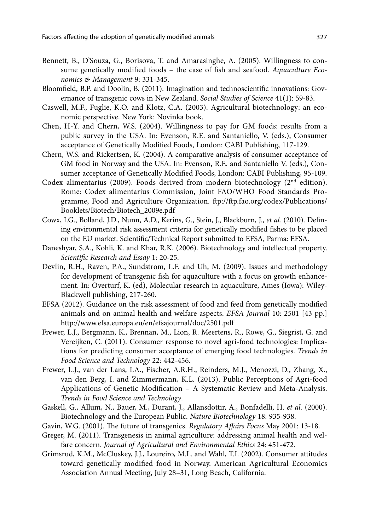- Bennett, B., D'Souza, G., Borisova, T. and Amarasinghe, A. (2005). Willingness to consume genetically modified foods – the case of fish and seafood. *Aquaculture Economics & Management* 9: 331-345.
- Bloomfield, B.P. and Doolin, B. (2011). Imagination and technoscientific innovations: Governance of transgenic cows in New Zealand. *Social Studies of Science* 41(1): 59-83.
- Caswell, M.F., Fuglie, K.O. and Klotz, C.A. (2003). Agricultural biotechnology: an economic perspective. New York: Novinka book.
- Chen, H-Y. and Chern, W.S. (2004). Willingness to pay for GM foods: results from a public survey in the USA. In: Evenson, R.E. and Santaniello, V. (eds.), Consumer acceptance of Genetically Modified Foods, London: CABI Publishing, 117-129.
- Chern, W.S. and Rickertsen, K. (2004). A comparative analysis of consumer acceptance of GM food in Norway and the USA. In: Evenson, R.E. and Santaniello V. (eds.), Consumer acceptance of Genetically Modified Foods, London: CABI Publishing, 95-109.
- Codex alimentarius (2009). Foods derived from modern biotechnology (2nd edition). Rome: Codex alimentarius Commission, Joint FAO/WHO Food Standards Programme, Food and Agriculture Organization. ftp://ftp.fao.org/codex/Publications/ Booklets/Biotech/Biotech\_2009e.pdf
- Cowx, I.G., Bolland, J.D., Nunn, A.D., Kerins, G., Stein, J., Blackburn, J., *et al.* (2010). Defining environmental risk assessment criteria for genetically modified fishes to be placed on the EU market. Scientific/Technical Report submitted to EFSA, Parma: EFSA.
- Daneshyar, S.A., Kohli, K. and Khar, R.K. (2006). Biotechnology and intellectual property. *Scientific Research and Essay* 1: 20-25.
- Devlin, R.H., Raven, P.A., Sundstrom, L.F. and Uh, M. (2009). Issues and methodology for development of transgenic fish for aquaculture with a focus on growth enhancement. In: Overturf, K. (ed), Molecular research in aquaculture, Ames (Iowa): Wiley-Blackwell publishing, 217-260.
- EFSA (2012). Guidance on the risk assessment of food and feed from genetically modified animals and on animal health and welfare aspects. *EFSA Journal* 10: 2501 [43 pp.] http://www.efsa.europa.eu/en/efsajournal/doc/2501.pdf
- Frewer, L.J., Bergmann, K., Brennan, M., Lion, R. Meertens, R., Rowe, G., Siegrist, G. and Vereijken, C. (2011). Consumer response to novel agri-food technologies: Implications for predicting consumer acceptance of emerging food technologies. *Trends in Food Science and Technology* 22: 442-456.
- Frewer, L.J., van der Lans, I.A., Fischer, A.R.H., Reinders, M.J., Menozzi, D., Zhang, X., van den Berg, I. and Zimmermann, K.L. (2013). Public Perceptions of Agri-food Applications of Genetic Modification – A Systematic Review and Meta-Analysis. *Trends in Food Science and Technology*.
- Gaskell, G., Allum, N., Bauer, M., Durant, J., Allansdottir, A., Bonfadelli, H. *et al.* (2000). Biotechnology and the European Public. *Nature Biotechnology* 18: 935-938.
- Gavin, W.G. (2001). The future of transgenics. *Regulatory Affairs Focus* May 2001: 13-18.
- Greger, M. (2011). Transgenesis in animal agriculture: addressing animal health and welfare concern. *Journal of Agricultural and Environmental Ethics* 24: 451-472.
- Grimsrud, K.M., McCluskey, J.J., Loureiro, M.L. and Wahl, T.I. (2002). Consumer attitudes toward genetically modified food in Norway. American Agricultural Economics Association Annual Meeting, July 28–31, Long Beach, California.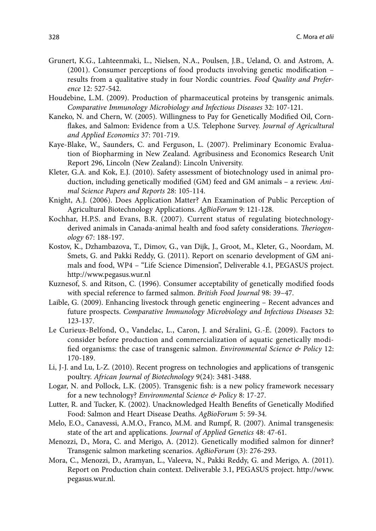- Grunert, K.G., Lahteenmaki, L., Nielsen, N.A., Poulsen, J.B., Ueland, O. and Astrom, A. (2001). Consumer perceptions of food products involving genetic modification – results from a qualitative study in four Nordic countries. *Food Quality and Preference* 12: 527-542.
- Houdebine, L.M. (2009). Production of pharmaceutical proteins by transgenic animals. *Comparative Immunology Microbiology and Infectious Diseases* 32: 107-121.
- Kaneko, N. and Chern, W. (2005). Willingness to Pay for Genetically Modified Oil, Cornflakes, and Salmon: Evidence from a U.S. Telephone Survey. *Journal of Agricultural and Applied Economics* 37: 701-719.
- Kaye-Blake, W., Saunders, C. and Ferguson, L. (2007). Preliminary Economic Evaluation of Biopharming in New Zealand. Agribusiness and Economics Research Unit Report 296, Lincoln (New Zealand): Lincoln University.
- Kleter, G.A. and Kok, E.J. (2010). Safety assessment of biotechnology used in animal production, including genetically modified (GM) feed and GM animals – a review. *Animal Science Papers and Reports* 28: 105-114.
- Knight, A.J. (2006). Does Application Matter? An Examination of Public Perception of Agricultural Biotechnology Applications. *AgBioForum* 9: 121-128.
- Kochhar, H.P.S. and Evans, B.R. (2007). Current status of regulating biotechnologyderived animals in Canada-animal health and food safety considerations. *Theriogenology* 67: 188-197.
- Kostov, K., Dzhambazova, T., Dimov, G., van Dijk, J., Groot, M., Kleter, G., Noordam, M. Smets, G. and Pakki Reddy, G. (2011). Report on scenario development of GM animals and food, WP4 – "Life Science Dimension", Deliverable 4.1, PEGASUS project. http://www.pegasus.wur.nl
- Kuznesof, S. and Ritson, C. (1996). Consumer acceptability of genetically modified foods with special reference to farmed salmon. *British Food Journal* 98: 39–47.
- Laible, G. (2009). Enhancing livestock through genetic engineering Recent advances and future prospects. *Comparative Immunology Microbiology and Infectious Diseases* 32: 123-137.
- Le Curieux-Belfond, O., Vandelac, L., Caron, J. and Séralini, G.-É. (2009). Factors to consider before production and commercialization of aquatic genetically modified organisms: the case of transgenic salmon. *Environmental Science & Policy* 12: 170-189.
- Li, J-J. and Lu, L-Z. (2010). Recent progress on technologies and applications of transgenic poultry. *African Journal of Biotechnology* 9(24): 3481-3488.
- Logar, N. and Pollock, L.K. (2005). Transgenic fish: is a new policy framework necessary for a new technology? *Environmental Science & Policy* 8: 17-27.
- Lutter, R. and Tucker, K. (2002). Unacknowledged Health Benefits of Genetically Modified Food: Salmon and Heart Disease Deaths. *AgBioForum* 5: 59-34.
- Melo, E.O., Canavessi, A.M.O., Franco, M.M. and Rumpf, R. (2007). Animal transgenesis: state of the art and applications. *Journal of Applied Genetics* 48: 47-61.
- Menozzi, D., Mora, C. and Merigo, A. (2012). Genetically modified salmon for dinner? Transgenic salmon marketing scenarios. *AgBioForum* (3): 276-293.
- Mora, C., Menozzi, D., Aramyan, L., Valeeva, N., Pakki Reddy, G. and Merigo, A. (2011). Report on Production chain context. Deliverable 3.1, PEGASUS project. http://www. pegasus.wur.nl.